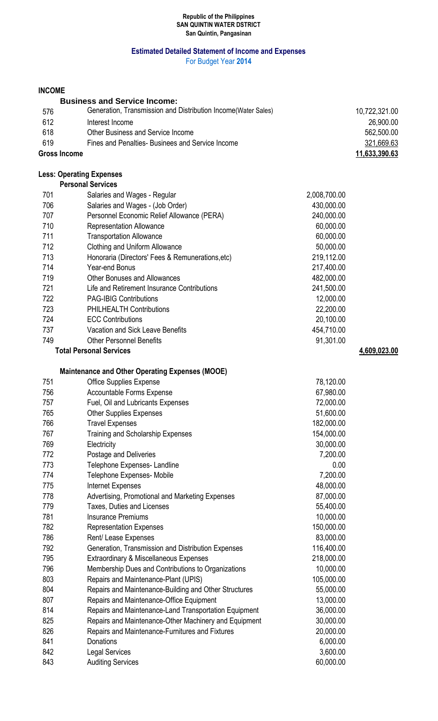#### **Republic of the Philippines SAN QUINTIN WATER DSTRICT San Quintin, Pangasinan**

# **Estimated Detailed Statement of Income and Expenses**

For Budget Year **2014**

### **INCOME**

|                     | <b>Business and Service Income:</b>                            |               |
|---------------------|----------------------------------------------------------------|---------------|
| 576                 | Generation, Transmission and Distribution Income (Water Sales) | 10,722,321.00 |
| 612                 | Interest Income                                                | 26,900.00     |
| 618                 | Other Business and Service Income                              | 562,500.00    |
| 619                 | Fines and Penalties-Businees and Service Income                | 321,669.63    |
| <b>Gross Income</b> |                                                                | 11,633,390.63 |

# **Less: Operating Expenses**

| 701                            | Salaries and Wages - Regular                     | 2,008,700.00 |              |
|--------------------------------|--------------------------------------------------|--------------|--------------|
| 706                            | Salaries and Wages - (Job Order)                 | 430,000.00   |              |
| 707                            | Personnel Economic Relief Allowance (PERA)       | 240,000.00   |              |
| 710                            | <b>Representation Allowance</b>                  | 60,000.00    |              |
| 711                            | <b>Transportation Allowance</b>                  | 60,000.00    |              |
| 712                            | Clothing and Uniform Allowance                   | 50,000.00    |              |
| 713                            | Honoraria (Directors' Fees & Remunerations, etc) | 219,112.00   |              |
| 714                            | Year-end Bonus                                   | 217,400.00   |              |
| 719                            | <b>Other Bonuses and Allowances</b>              | 482,000.00   |              |
| 721                            | Life and Retirement Insurance Contributions      | 241,500.00   |              |
| 722                            | <b>PAG-IBIG Contributions</b>                    | 12,000.00    |              |
| 723                            | <b>PHILHEALTH Contributions</b>                  | 22,200.00    |              |
| 724                            | <b>ECC Contributions</b>                         | 20,100.00    |              |
| 737                            | <b>Vacation and Sick Leave Benefits</b>          | 454,710.00   |              |
| 749                            | <b>Other Personnel Benefits</b>                  | 91,301.00    |              |
| <b>Total Personal Services</b> |                                                  |              | 4,609,023.00 |

# **Maintenance and Other Operating Expenses (MOOE)**

| 751 | <b>Office Supplies Expense</b>                        | 78,120.00  |
|-----|-------------------------------------------------------|------------|
| 756 | <b>Accountable Forms Expense</b>                      | 67,980.00  |
| 757 | Fuel, Oil and Lubricants Expenses                     | 72,000.00  |
| 765 | <b>Other Supplies Expenses</b>                        | 51,600.00  |
| 766 | <b>Travel Expenses</b>                                | 182,000.00 |
| 767 | Training and Scholarship Expenses                     | 154,000.00 |
| 769 | Electricity                                           | 30,000.00  |
| 772 | Postage and Deliveries                                | 7,200.00   |
| 773 | Telephone Expenses- Landline                          | 0.00       |
| 774 | Telephone Expenses- Mobile                            | 7,200.00   |
| 775 | Internet Expenses                                     | 48,000.00  |
| 778 | Advertising, Promotional and Marketing Expenses       | 87,000.00  |
| 779 | Taxes, Duties and Licenses                            | 55,400.00  |
| 781 | <b>Insurance Premiums</b>                             | 10,000.00  |
| 782 | <b>Representation Expenses</b>                        | 150,000.00 |
| 786 | Rent/ Lease Expenses                                  | 83,000.00  |
| 792 | Generation, Transmission and Distribution Expenses    | 116,400.00 |
| 795 | Extraordinary & Miscellaneous Expenses                | 218,000.00 |
| 796 | Membership Dues and Contributions to Organizations    | 10,000.00  |
| 803 | Repairs and Maintenance-Plant (UPIS)                  | 105,000.00 |
| 804 | Repairs and Maintenance-Building and Other Structures | 55,000.00  |
| 807 | Repairs and Maintenance-Office Equipment              | 13,000.00  |
| 814 | Repairs and Maintenance-Land Transportation Equipment | 36,000.00  |
| 825 | Repairs and Maintenance-Other Machinery and Equipment | 30,000.00  |
| 826 | Repairs and Maintenance-Furnitures and Fixtures       | 20,000.00  |
| 841 | Donations                                             | 6,000.00   |
| 842 | <b>Legal Services</b>                                 | 3,600.00   |
| 843 | <b>Auditing Services</b>                              | 60,000.00  |